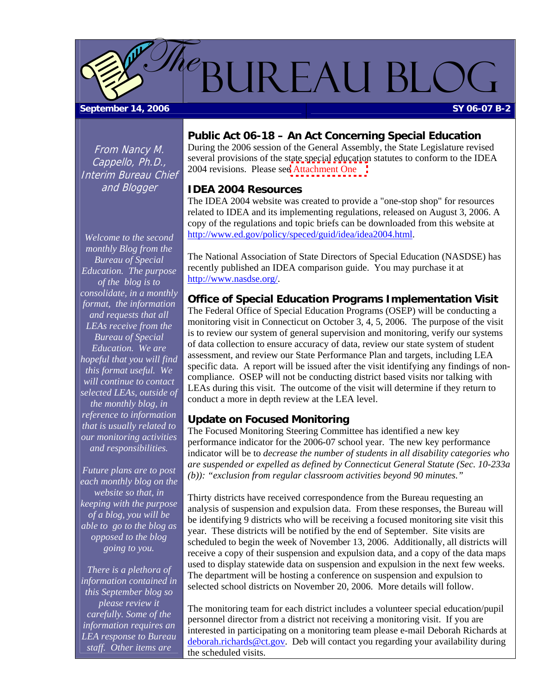<span id="page-0-0"></span>

From Nancy M. Cappello, Ph.D., Interim Bureau Chief and Blogger

*Welcome to the second monthly Blog from the Bureau of Special Education. The purpose of the blog is to consolidate, in a monthly format, the information and requests that all LEAs receive from the Bureau of Special Education. We are hopeful that you will find this format useful. We will continue to contact selected LEAs, outside of the monthly blog, in reference to information that is usually related to our monitoring activities and responsibilities.* 

*Future plans are to post each monthly blog on the website so that, in keeping with the purpose of a blog, you will be able to go to the blog as opposed to the blog going to you.* 

*There is a plethora of information contained in this September blog so please review it carefully. Some of the information requires an LEA response to Bureau staff. Other items are* 

#### **Public Act 06-18 – An Act Concerning Special Education**

During the 2006 session of the General Assembly, the State Legislature revised several provisions of the state special education statutes to conform to the IDEA 2004 revisions. Please se[e Attachment One](#page-4-0) 

#### **IDEA 2004 Resources**

The IDEA 2004 website was created to provide a "one-stop shop" for resources related to IDEA and its implementing regulations, released on August 3, 2006. A copy of the regulations and topic briefs can be downloaded from this website at <http://www.ed.gov/policy/speced/guid/idea/idea2004.html>.

The National Association of State Directors of Special Education (NASDSE) has recently published an IDEA comparison guide. You may purchase it at [http://www.nasdse.org/.](http://www.nasdse.org/)

#### **Office of Special Education Programs Implementation Visit**

The Federal Office of Special Education Programs (OSEP) will be conducting a monitoring visit in Connecticut on October 3, 4, 5, 2006. The purpose of the visit is to review our system of general supervision and monitoring, verify our systems of data collection to ensure accuracy of data, review our state system of student assessment, and review our State Performance Plan and targets, including LEA specific data. A report will be issued after the visit identifying any findings of noncompliance. OSEP will not be conducting district based visits nor talking with LEAs during this visit. The outcome of the visit will determine if they return to conduct a more in depth review at the LEA level.

#### **Update on Focused Monitoring**

The Focused Monitoring Steering Committee has identified a new key performance indicator for the 2006-07 school year. The new key performance indicator will be to *decrease the number of students in all disability categories who are suspended or expelled as defined by Connecticut General Statute (Sec. 10-233a (b)): "exclusion from regular classroom activities beyond 90 minutes."* 

Thirty districts have received correspondence from the Bureau requesting an analysis of suspension and expulsion data. From these responses, the Bureau will be identifying 9 districts who will be receiving a focused monitoring site visit this year. These districts will be notified by the end of September. Site visits are scheduled to begin the week of November 13, 2006. Additionally, all districts will receive a copy of their suspension and expulsion data, and a copy of the data maps used to display statewide data on suspension and expulsion in the next few weeks. The department will be hosting a conference on suspension and expulsion to selected school districts on November 20, 2006. More details will follow.

The monitoring team for each district includes a volunteer special education/pupil personnel director from a district not receiving a monitoring visit. If you are interested in participating on a monitoring team please e-mail Deborah Richards at [deborah.richards@ct.gov](mailto:deborah.richards@ct.gov). Deb will contact you regarding your availability during the scheduled visits.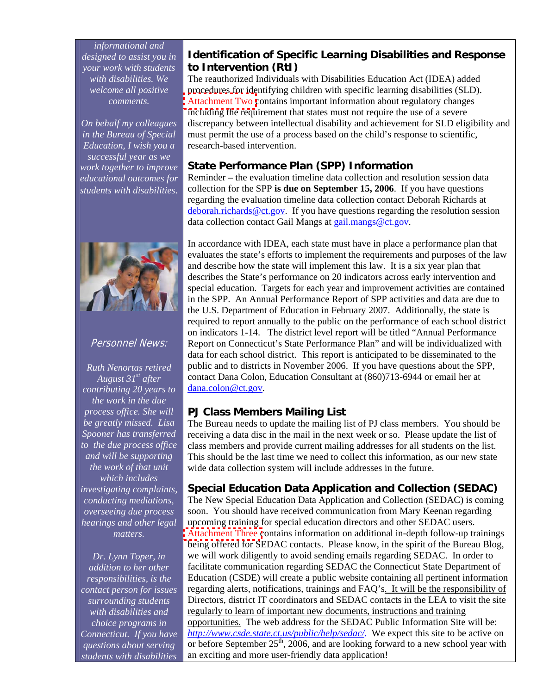<span id="page-1-0"></span>*informational and designed to assist you in your work with students with disabilities. We welcome all positive comments.* 

*On behalf my colleagues in the Bureau of Special Education, I wish you a successful year as we work together to improve educational outcomes for students with disabilities.*



#### Personnel News:

*Ruth Nenortas retired August 31st after contributing 20 years to the work in the due process office. She will be greatly missed. Lisa Spooner has transferred to the due process office and will be supporting the work of that unit which includes investigating complaints, conducting mediations, overseeing due process hearings and other legal matters.* 

*Dr. Lynn Toper, in addition to her other responsibilities, is the contact person for issues surrounding students with disabilities and choice programs in Connecticut. If you have questions about serving students with disabilities* 

#### **Identification of Specific Learning Disabilities and Response to Intervention (RtI)**

The reauthorized Individuals with Disabilities Education Act (IDEA) added procedures for identifying children with specific learning disabilities (SLD). [Attachment Two c](#page-6-0)ontains important information about regulatory changes including the requirement that states must not require the use of a severe discrepancy between intellectual disability and achievement for SLD eligibility and must permit the use of a process based on the child's response to scientific, research-based intervention.

#### **State Performance Plan (SPP) Information**

Reminder – the evaluation timeline data collection and resolution session data collection for the SPP **is due on September 15, 2006**. If you have questions regarding the evaluation timeline data collection contact Deborah Richards at [deborah.richards@ct.gov](mailto:deborah.richards@ct.gov). If you have questions regarding the resolution session data collection contact Gail Mangs at [gail.mangs@ct.gov](mailto:gail.mangs@ct.gov).

In accordance with IDEA, each state must have in place a performance plan that evaluates the state's efforts to implement the requirements and purposes of the law and describe how the state will implement this law. It is a six year plan that describes the State's performance on 20 indicators across early intervention and special education. Targets for each year and improvement activities are contained in the SPP. An Annual Performance Report of SPP activities and data are due to the U.S. Department of Education in February 2007. Additionally, the state is required to report annually to the public on the performance of each school district on indicators 1-14. The district level report will be titled "Annual Performance Report on Connecticut's State Performance Plan" and will be individualized with data for each school district. This report is anticipated to be disseminated to the public and to districts in November 2006. If you have questions about the SPP, contact Dana Colon, Education Consultant at (860)713-6944 or email her at [dana.colon@ct.gov](mailto:dana.colon@ct.gov).

## **PJ Class Members Mailing List**

The Bureau needs to update the mailing list of PJ class members. You should be receiving a data disc in the mail in the next week or so. Please update the list of class members and provide current mailing addresses for all students on the list. This should be the last time we need to collect this information, as our new state wide data collection system will include addresses in the future.

#### **Special Education Data Application and Collection (SEDAC)**

The New Special Education Data Application and Collection (SEDAC) is coming soon. You should have received communication from Mary Keenan regarding upcoming training for special education directors and other SEDAC users. [Attachment Three c](#page-8-0)ontains information on additional in-depth follow-up trainings being offered for SEDAC contacts. Please know, in the spirit of the Bureau Blog, we will work diligently to avoid sending emails regarding SEDAC. In order to facilitate communication regarding SEDAC the Connecticut State Department of Education (CSDE) will create a public website containing all pertinent information regarding alerts, notifications, trainings and FAQ's. It will be the responsibility of Directors, district IT coordinators and SEDAC contacts in the LEA to visit the site regularly to learn of important new documents, instructions and training opportunities. The web address for the SEDAC Public Information Site will be: *[http://www.csde.state.ct.us/public/help/sedac/.](https://ctmail.ct.gov/exchweb/bin/redir.asp?URL=http://www.csde.state.ct.us/public/help/sedac/)* We expect this site to be active on or before September 25<sup>th</sup>, 2006, and are looking forward to a new school year with an exciting and more user-friendly data application!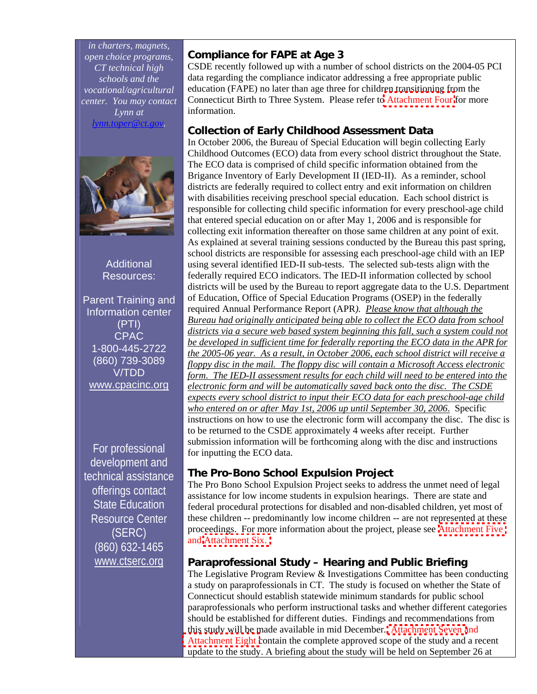<span id="page-2-0"></span>*in charters, magnets, open choice programs, CT technical high schools and the vocational/agricultural center. You may contact Lynn at [lynn.toper@ct.gov.](mailto:lynn.toper@ct.gov)* 



**Additional** Resources:

Parent Training and Information center (PTI) CPAC 1-800-445-2722 (860) 739-3089 V/TDD [www.cpacinc.org](http://www.cpacinc.org/)

For professional development and technical assistance offerings contact State Education Resource Center (SERC) (860) 632-1465 [www.ctserc.org](http://www.ctserc.org/)

## **Compliance for FAPE at Age 3**

CSDE recently followed up with a number of school districts on the 2004-05 PCI data regarding the compliance indicator addressing a free appropriate public education (FAPE) no later than age three for children transitioning from the Connecticut Birth to Three System. Please refer t[o Attachment Four](#page-10-0) for more information.

## **Collection of Early Childhood Assessment Data**

In October 2006, the Bureau of Special Education will begin collecting Early Childhood Outcomes (ECO) data from every school district throughout the State. The ECO data is comprised of child specific information obtained from the Brigance Inventory of Early Development II (IED-II). As a reminder, school districts are federally required to collect entry and exit information on children with disabilities receiving preschool special education. Each school district is responsible for collecting child specific information for every preschool-age child that entered special education on or after May 1, 2006 and is responsible for collecting exit information thereafter on those same children at any point of exit. As explained at several training sessions conducted by the Bureau this past spring, school districts are responsible for assessing each preschool-age child with an IEP using several identified IED-II sub-tests. The selected sub-tests align with the federally required ECO indicators. The IED-II information collected by school districts will be used by the Bureau to report aggregate data to the U.S. Department of Education, Office of Special Education Programs (OSEP) in the federally required Annual Performance Report (APR*). Please know that although the Bureau had originally anticipated being able to collect the ECO data from school districts via a secure web based system beginning this fall, such a system could not be developed in sufficient time for federally reporting the ECO data in the APR for the 2005-06 year. As a result, in October 2006, each school district will receive a floppy disc in the mail. The floppy disc will contain a Microsoft Access electronic form. The IED-II assessment results for each child will need to be entered into the electronic form and will be automatically saved back onto the disc. The CSDE expects every school district to input their ECO data for each preschool-age child who entered on or after May 1st, 2006 up until September 30, 2006*. Specific instructions on how to use the electronic form will accompany the disc. The disc is to be returned to the CSDE approximately 4 weeks after receipt. Further submission information will be forthcoming along with the disc and instructions for inputting the ECO data.

# **The Pro-Bono School Expulsion Project**

The Pro Bono School Expulsion Project seeks to address the unmet need of legal assistance for low income students in expulsion hearings. There are state and federal procedural protections for disabled and non-disabled children, yet most of these children -- predominantly low income children -- are not represented at these proceedings. For more information about the project, please see [Attachment Five](#page-12-0)  and [Attachment Six.](#page-13-0)

# **Paraprofessional Study – Hearing and Public Briefing**

The Legislative Program Review & Investigations Committee has been conducting a study on paraprofessionals in CT. The study is focused on whether the State of Connecticut should establish statewide minimum standards for public school paraprofessionals who perform instructional tasks and whether different categories should be established for different duties. Findings and recommendations from this study will be made available in mid December. [Attachment Seven](#page-14-0) and [Attachment Eight c](#page-16-0)ontain the complete approved scope of the study and a recent update to the study. A briefing about the study will be held on September 26 at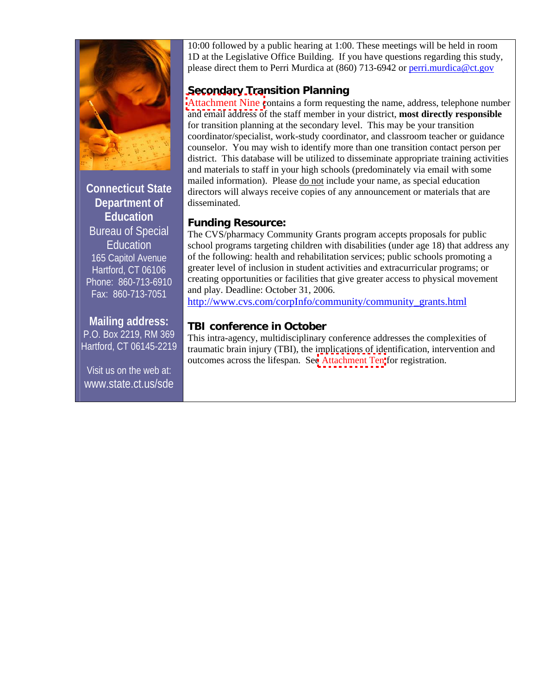

**Connecticut State Department of Education**  Bureau of Special Education 165 Capitol Avenue Hartford, CT 06106 Phone: 860-713-6910 Fax: 860-713-7051

# **Mailing address:**

P.O. Box 2219, RM 369 Hartford, CT 06145-2219

Visit us on the web at: www.state.ct.us/sde 10:00 followed by a public hearing at 1:00. These meetings will be held in room 1D at the Legislative Office Building. If you have questions regarding this study, please direct them to Perri Murdica at (860) 713-6942 or [perri.murdica@ct.gov](mailto:perri.murdica@ct.gov)

# **Secondary Transition Planning**

[Attachment Nine](#page-19-0) contains a form requesting the name, address, telephone number and email address of the staff member in your district, **most directly responsible** for transition planning at the secondary level. This may be your transition coordinator/specialist, work-study coordinator, and classroom teacher or guidance counselor. You may wish to identify more than one transition contact person per district. This database will be utilized to disseminate appropriate training activities and materials to staff in your high schools (predominately via email with some mailed information). Please do not include your name, as special education directors will always receive copies of any announcement or materials that are disseminated.

#### **Funding Resource:**

The CVS/pharmacy Community Grants program accepts proposals for public school programs targeting children with disabilities (under age 18) that address any of the following: health and rehabilitation services; public schools promoting a greater level of inclusion in student activities and extracurricular programs; or creating opportunities or facilities that give greater access to physical movement and play. Deadline: October 31, 2006.

[http://www.cvs.com/corpInfo/community/community\\_grants.html](https://ctmail.ct.gov/exchweb/bin/redir.asp?URL=http://www.cvs.com/corpInfo/community/community_grants.html)

# **TBI conference in October**

This intra-agency, multidisciplinary conference addresses the complexities of traumatic brain injury (TBI), the implications of identification, intervention and outcomes across the lifespan. Se[e Attachment Ten](#page-20-0) for registration.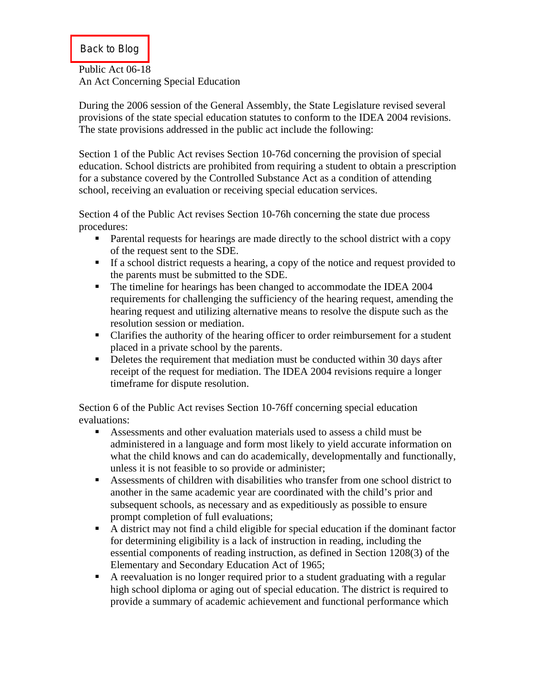#### <span id="page-4-0"></span>[Back to Blog](#page-0-0)

Public Act 06-18 An Act Concerning Special Education

During the 2006 session of the General Assembly, the State Legislature revised several provisions of the state special education statutes to conform to the IDEA 2004 revisions. The state provisions addressed in the public act include the following:

Section 1 of the Public Act revises Section 10-76d concerning the provision of special education. School districts are prohibited from requiring a student to obtain a prescription for a substance covered by the Controlled Substance Act as a condition of attending school, receiving an evaluation or receiving special education services.

Section 4 of the Public Act revises Section 10-76h concerning the state due process procedures:

- Parental requests for hearings are made directly to the school district with a copy of the request sent to the SDE.
- If a school district requests a hearing, a copy of the notice and request provided to the parents must be submitted to the SDE.
- The timeline for hearings has been changed to accommodate the IDEA 2004 requirements for challenging the sufficiency of the hearing request, amending the hearing request and utilizing alternative means to resolve the dispute such as the resolution session or mediation.
- Clarifies the authority of the hearing officer to order reimbursement for a student placed in a private school by the parents.
- Deletes the requirement that mediation must be conducted within 30 days after receipt of the request for mediation. The IDEA 2004 revisions require a longer timeframe for dispute resolution.

Section 6 of the Public Act revises Section 10-76ff concerning special education evaluations:

- Assessments and other evaluation materials used to assess a child must be administered in a language and form most likely to yield accurate information on what the child knows and can do academically, developmentally and functionally, unless it is not feasible to so provide or administer;
- Assessments of children with disabilities who transfer from one school district to another in the same academic year are coordinated with the child's prior and subsequent schools, as necessary and as expeditiously as possible to ensure prompt completion of full evaluations;
- A district may not find a child eligible for special education if the dominant factor for determining eligibility is a lack of instruction in reading, including the essential components of reading instruction, as defined in Section 1208(3) of the Elementary and Secondary Education Act of 1965;
- A reevaluation is no longer required prior to a student graduating with a regular high school diploma or aging out of special education. The district is required to provide a summary of academic achievement and functional performance which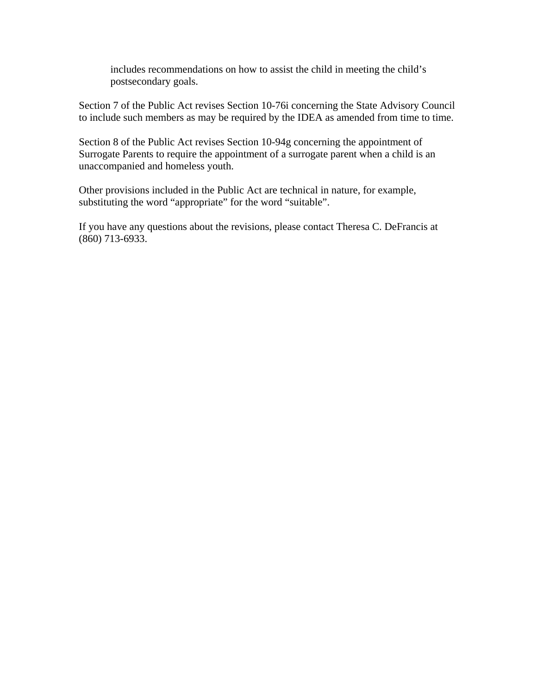includes recommendations on how to assist the child in meeting the child's postsecondary goals.

Section 7 of the Public Act revises Section 10-76i concerning the State Advisory Council to include such members as may be required by the IDEA as amended from time to time.

Section 8 of the Public Act revises Section 10-94g concerning the appointment of Surrogate Parents to require the appointment of a surrogate parent when a child is an unaccompanied and homeless youth.

Other provisions included in the Public Act are technical in nature, for example, substituting the word "appropriate" for the word "suitable".

If you have any questions about the revisions, please contact Theresa C. DeFrancis at (860) 713-6933.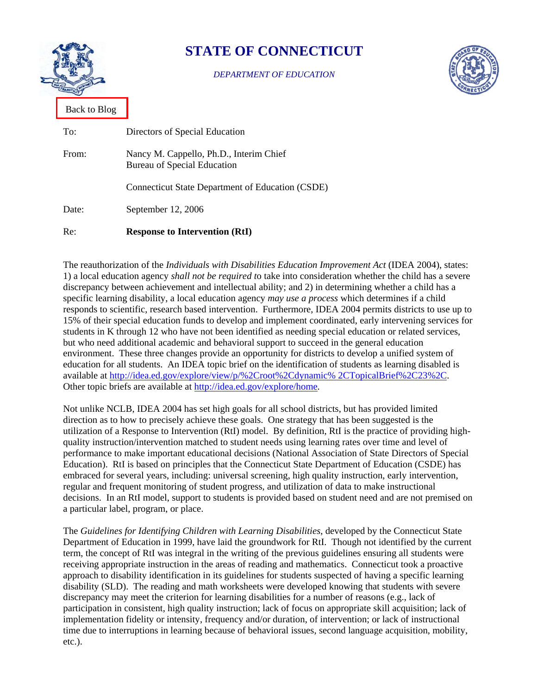<span id="page-6-0"></span>

# **STATE OF CONNECTICUT**

*DEPARTMENT OF EDUCATION* 



[Back to Blog](#page-1-0)

| Re:   | <b>Response to Intervention (RtI)</b>                                  |
|-------|------------------------------------------------------------------------|
| Date: | September 12, 2006                                                     |
|       | <b>Connecticut State Department of Education (CSDE)</b>                |
| From: | Nancy M. Cappello, Ph.D., Interim Chief<br>Bureau of Special Education |
| To:   | Directors of Special Education                                         |

The reauthorization of the *Individuals with Disabilities Education Improvement Act* (IDEA 2004), states: 1) a local education agency *shall not be required t*o take into consideration whether the child has a severe discrepancy between achievement and intellectual ability; and 2) in determining whether a child has a specific learning disability, a local education agency *may use a process* which determines if a child responds to scientific, research based intervention. Furthermore, IDEA 2004 permits districts to use up to 15% of their special education funds to develop and implement coordinated, early intervening services for students in K through 12 who have not been identified as needing special education or related services, but who need additional academic and behavioral support to succeed in the general education environment. These three changes provide an opportunity for districts to develop a unified system of education for all students. An IDEA topic brief on the identification of students as learning disabled is available at [http://idea.ed.gov/explore/view/p/%2Croot%2Cdynamic% 2CTopicalBrief%2C23%2C.](http://idea.ed.gov/explore/view/p/%2Croot%2Cdynamic%25%202CTopicalBrief%2C23%2C) Other topic briefs are available at <http://idea.ed.gov/explore/home>.

Not unlike NCLB, IDEA 2004 has set high goals for all school districts, but has provided limited direction as to how to precisely achieve these goals. One strategy that has been suggested is the utilization of a Response to Intervention (RtI) model. By definition, RtI is the practice of providing highquality instruction/intervention matched to student needs using learning rates over time and level of performance to make important educational decisions (National Association of State Directors of Special Education). RtI is based on principles that the Connecticut State Department of Education (CSDE) has embraced for several years, including: universal screening, high quality instruction, early intervention, regular and frequent monitoring of student progress, and utilization of data to make instructional decisions. In an RtI model, support to students is provided based on student need and are not premised on a particular label, program, or place.

The *Guidelines for Identifying Children with Learning Disabilities*, developed by the Connecticut State Department of Education in 1999, have laid the groundwork for RtI. Though not identified by the current term, the concept of RtI was integral in the writing of the previous guidelines ensuring all students were receiving appropriate instruction in the areas of reading and mathematics. Connecticut took a proactive approach to disability identification in its guidelines for students suspected of having a specific learning disability (SLD). The reading and math worksheets were developed knowing that students with severe discrepancy may meet the criterion for learning disabilities for a number of reasons (e.g., lack of participation in consistent, high quality instruction; lack of focus on appropriate skill acquisition; lack of implementation fidelity or intensity, frequency and/or duration, of intervention; or lack of instructional time due to interruptions in learning because of behavioral issues, second language acquisition, mobility, etc.).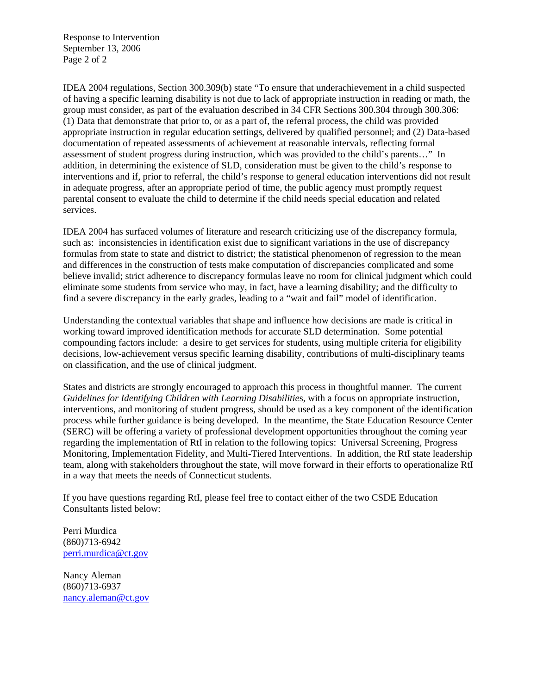Response to Intervention September 13, 2006 Page 2 of 2

IDEA 2004 regulations, Section 300.309(b) state "To ensure that underachievement in a child suspected of having a specific learning disability is not due to lack of appropriate instruction in reading or math, the group must consider, as part of the evaluation described in 34 CFR Sections 300.304 through 300.306: (1) Data that demonstrate that prior to, or as a part of, the referral process, the child was provided appropriate instruction in regular education settings, delivered by qualified personnel; and (2) Data-based documentation of repeated assessments of achievement at reasonable intervals, reflecting formal assessment of student progress during instruction, which was provided to the child's parents…" In addition, in determining the existence of SLD, consideration must be given to the child's response to interventions and if, prior to referral, the child's response to general education interventions did not result in adequate progress, after an appropriate period of time, the public agency must promptly request parental consent to evaluate the child to determine if the child needs special education and related services.

IDEA 2004 has surfaced volumes of literature and research criticizing use of the discrepancy formula, such as: inconsistencies in identification exist due to significant variations in the use of discrepancy formulas from state to state and district to district; the statistical phenomenon of regression to the mean and differences in the construction of tests make computation of discrepancies complicated and some believe invalid; strict adherence to discrepancy formulas leave no room for clinical judgment which could eliminate some students from service who may, in fact, have a learning disability; and the difficulty to find a severe discrepancy in the early grades, leading to a "wait and fail" model of identification.

Understanding the contextual variables that shape and influence how decisions are made is critical in working toward improved identification methods for accurate SLD determination. Some potential compounding factors include: a desire to get services for students, using multiple criteria for eligibility decisions, low-achievement versus specific learning disability, contributions of multi-disciplinary teams on classification, and the use of clinical judgment.

States and districts are strongly encouraged to approach this process in thoughtful manner. The current *Guidelines for Identifying Children with Learning Disabilitie*s, with a focus on appropriate instruction, interventions, and monitoring of student progress, should be used as a key component of the identification process while further guidance is being developed. In the meantime, the State Education Resource Center (SERC) will be offering a variety of professional development opportunities throughout the coming year regarding the implementation of RtI in relation to the following topics: Universal Screening, Progress Monitoring, Implementation Fidelity, and Multi-Tiered Interventions. In addition, the RtI state leadership team, along with stakeholders throughout the state, will move forward in their efforts to operationalize RtI in a way that meets the needs of Connecticut students.

If you have questions regarding RtI, please feel free to contact either of the two CSDE Education Consultants listed below:

Perri Murdica (860)713-6942 [perri.murdica@ct.gov](mailto:perri.murdica@ct.gov)

Nancy Aleman (860)713-6937 [nancy.aleman@ct.gov](mailto:nancy.aleman@ct.gov)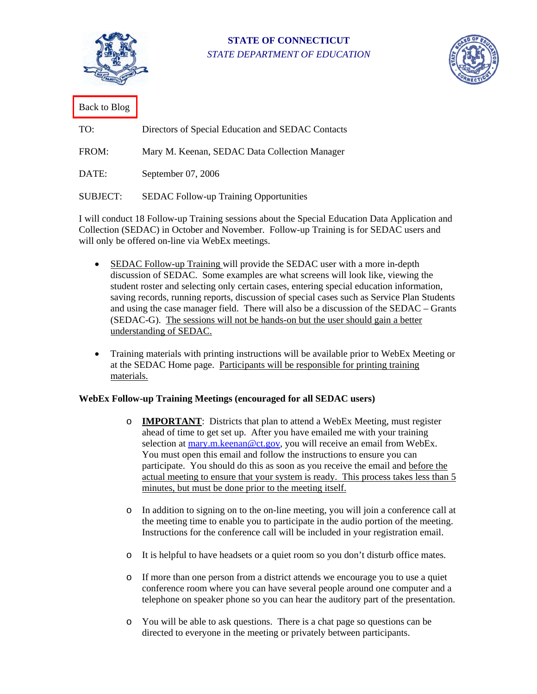<span id="page-8-0"></span>

**STATE OF CONNECTICUT**  *STATE DEPARTMENT OF EDUCATION* 



[Back to Blog](#page-2-0)

| TO:             | Directors of Special Education and SEDAC Contacts |
|-----------------|---------------------------------------------------|
| FROM:           | Mary M. Keenan, SEDAC Data Collection Manager     |
| DATE:           | September 07, 2006                                |
| <b>SUBJECT:</b> | <b>SEDAC Follow-up Training Opportunities</b>     |

I will conduct 18 Follow-up Training sessions about the Special Education Data Application and Collection (SEDAC) in October and November. Follow-up Training is for SEDAC users and will only be offered on-line via WebEx meetings.

- SEDAC Follow-up Training will provide the SEDAC user with a more in-depth discussion of SEDAC. Some examples are what screens will look like, viewing the student roster and selecting only certain cases, entering special education information, saving records, running reports, discussion of special cases such as Service Plan Students and using the case manager field. There will also be a discussion of the SEDAC – Grants (SEDAC-G). The sessions will not be hands-on but the user should gain a better understanding of SEDAC.
- Training materials with printing instructions will be available prior to WebEx Meeting or at the SEDAC Home page. Participants will be responsible for printing training materials.

#### **WebEx Follow-up Training Meetings (encouraged for all SEDAC users)**

- o **IMPORTANT**: Districts that plan to attend a WebEx Meeting, must register ahead of time to get set up. After you have emailed me with your training selection at [mary.m.keenan@ct.gov,](mailto:mary.m.keenan@ct.gov) you will receive an email from WebEx. You must open this email and follow the instructions to ensure you can participate. You should do this as soon as you receive the email and before the actual meeting to ensure that your system is ready. This process takes less than 5 minutes, but must be done prior to the meeting itself.
- o In addition to signing on to the on-line meeting, you will join a conference call at the meeting time to enable you to participate in the audio portion of the meeting. Instructions for the conference call will be included in your registration email.
- o It is helpful to have headsets or a quiet room so you don't disturb office mates.
- o If more than one person from a district attends we encourage you to use a quiet conference room where you can have several people around one computer and a telephone on speaker phone so you can hear the auditory part of the presentation.
- o You will be able to ask questions. There is a chat page so questions can be directed to everyone in the meeting or privately between participants.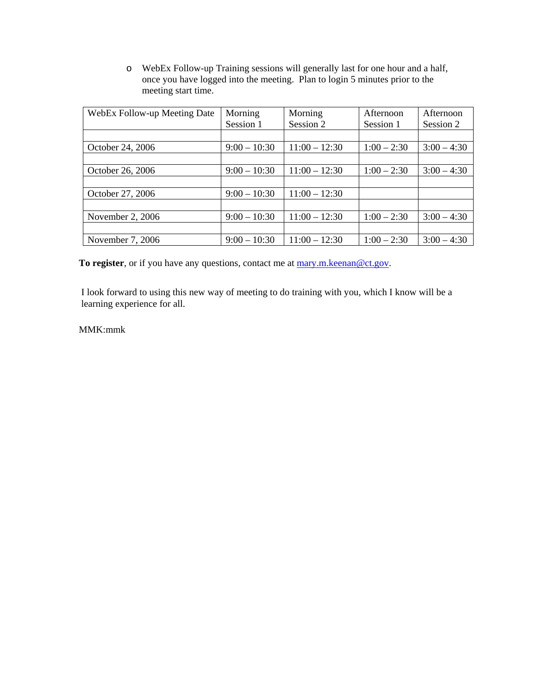o WebEx Follow-up Training sessions will generally last for one hour and a half, once you have logged into the meeting. Plan to login 5 minutes prior to the meeting start time.

| WebEx Follow-up Meeting Date | Morning        | Morning         | Afternoon     | Afternoon     |
|------------------------------|----------------|-----------------|---------------|---------------|
|                              | Session 1      | Session 2       | Session 1     | Session 2     |
|                              |                |                 |               |               |
| October 24, 2006             | $9:00 - 10:30$ | $11:00 - 12:30$ | $1:00 - 2:30$ | $3:00 - 4:30$ |
|                              |                |                 |               |               |
| October 26, 2006             | $9:00 - 10:30$ | $11:00 - 12:30$ | $1:00 - 2:30$ | $3:00 - 4:30$ |
|                              |                |                 |               |               |
| October 27, 2006             | $9:00 - 10:30$ | $11:00 - 12:30$ |               |               |
|                              |                |                 |               |               |
| November 2, $2006$           | $9:00 - 10:30$ | $11:00 - 12:30$ | $1:00 - 2:30$ | $3:00 - 4:30$ |
|                              |                |                 |               |               |
| November 7, 2006             | $9:00 - 10:30$ | $11:00 - 12:30$ | $1:00 - 2:30$ | $3:00 - 4:30$ |

To register, or if you have any questions, contact me at [mary.m.keenan@ct.gov.](mailto:mary.m.keenan@ct.gov)

I look forward to using this new way of meeting to do training with you, which I know will be a learning experience for all.

MMK:mmk